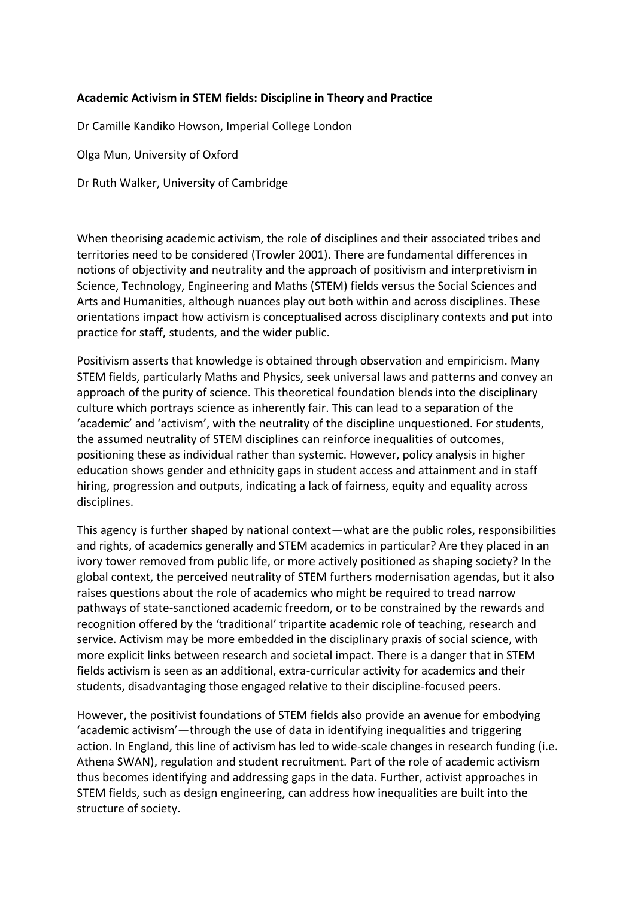## **Academic Activism in STEM fields: Discipline in Theory and Practice**

Dr Camille Kandiko Howson, Imperial College London

Olga Mun, University of Oxford

Dr Ruth Walker, University of Cambridge

When theorising academic activism, the role of disciplines and their associated tribes and territories need to be considered (Trowler 2001). There are fundamental differences in notions of objectivity and neutrality and the approach of positivism and interpretivism in Science, Technology, Engineering and Maths (STEM) fields versus the Social Sciences and Arts and Humanities, although nuances play out both within and across disciplines. These orientations impact how activism is conceptualised across disciplinary contexts and put into practice for staff, students, and the wider public.

Positivism asserts that knowledge is obtained through observation and empiricism. Many STEM fields, particularly Maths and Physics, seek universal laws and patterns and convey an approach of the purity of science. This theoretical foundation blends into the disciplinary culture which portrays science as inherently fair. This can lead to a separation of the 'academic' and 'activism', with the neutrality of the discipline unquestioned. For students, the assumed neutrality of STEM disciplines can reinforce inequalities of outcomes, positioning these as individual rather than systemic. However, policy analysis in higher education shows gender and ethnicity gaps in student access and attainment and in staff hiring, progression and outputs, indicating a lack of fairness, equity and equality across disciplines.

This agency is further shaped by national context—what are the public roles, responsibilities and rights, of academics generally and STEM academics in particular? Are they placed in an ivory tower removed from public life, or more actively positioned as shaping society? In the global context, the perceived neutrality of STEM furthers modernisation agendas, but it also raises questions about the role of academics who might be required to tread narrow pathways of state-sanctioned academic freedom, or to be constrained by the rewards and recognition offered by the 'traditional' tripartite academic role of teaching, research and service. Activism may be more embedded in the disciplinary praxis of social science, with more explicit links between research and societal impact. There is a danger that in STEM fields activism is seen as an additional, extra-curricular activity for academics and their students, disadvantaging those engaged relative to their discipline-focused peers.

However, the positivist foundations of STEM fields also provide an avenue for embodying 'academic activism'—through the use of data in identifying inequalities and triggering action. In England, this line of activism has led to wide-scale changes in research funding (i.e. Athena SWAN), regulation and student recruitment. Part of the role of academic activism thus becomes identifying and addressing gaps in the data. Further, activist approaches in STEM fields, such as design engineering, can address how inequalities are built into the structure of society.